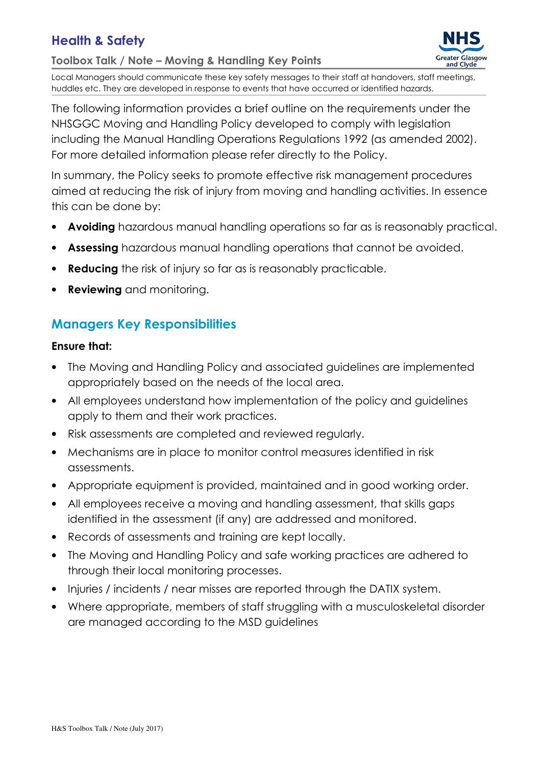# Health & Safety

Toolbox Talk / Note – Moving & Handling Key Points



Local Managers should communicate these key safety messages to their staff at handovers, staff meetings, huddles etc. They are developed in response to events that have occurred or identified hazards.

The following information provides a brief outline on the requirements under the NHSGGC Moving and Handling Policy developed to comply with legislation including the Manual Handling Operations Regulations 1992 (as amended 2002). For more detailed information please refer directly to the Policy.

In summary, the Policy seeks to promote effective risk management procedures aimed at reducing the risk of injury from moving and handling activities. In essence this can be done by:

- Avoiding hazardous manual handling operations so far as is reasonably practical.
- Assessing hazardous manual handling operations that cannot be avoided.
- Reducing the risk of injury so far as is reasonably practicable.
- Reviewing and monitoring.

## Managers Key Responsibilities

### Ensure that:

- The Moving and Handling Policy and associated guidelines are implemented appropriately based on the needs of the local area.
- All employees understand how implementation of the policy and guidelines apply to them and their work practices.
- Risk assessments are completed and reviewed regularly.
- Mechanisms are in place to monitor control measures identified in risk assessments.
- Appropriate equipment is provided, maintained and in good working order.
- All employees receive a moving and handling assessment, that skills gaps identified in the assessment (if any) are addressed and monitored.
- Records of assessments and training are kept locally.
- The Moving and Handling Policy and safe working practices are adhered to through their local monitoring processes.
- Injuries / incidents / near misses are reported through the DATIX system.
- Where appropriate, members of staff struggling with a musculoskeletal disorder are managed according to the MSD guidelines